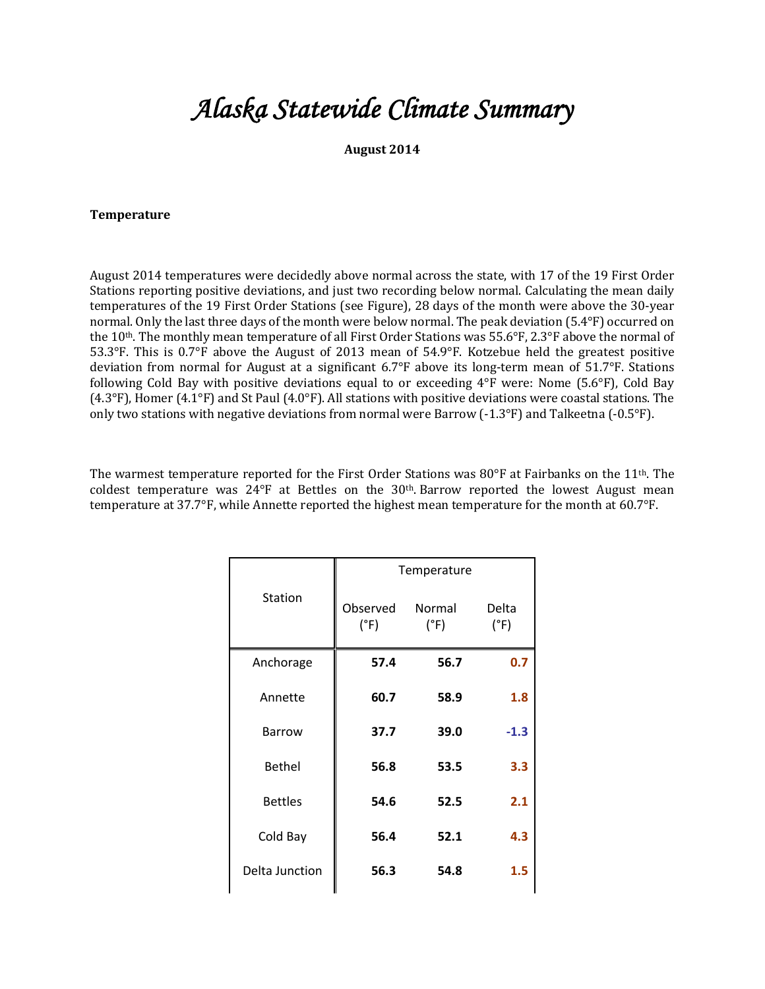## *Alaska Statewide Climate Summary*

**August 2014**

## **Temperature**

August 2014 temperatures were decidedly above normal across the state, with 17 of the 19 First Order Stations reporting positive deviations, and just two recording below normal. Calculating the mean daily temperatures of the 19 First Order Stations (see Figure), 28 days of the month were above the 30-year normal. Only the last three days of the month were below normal. The peak deviation  $(5.4^{\circ}F)$  occurred on the  $10<sup>th</sup>$ . The monthly mean temperature of all First Order Stations was 55.6°F, 2.3°F above the normal of 53.3°F. This is 0.7°F above the August of 2013 mean of 54.9°F. Kotzebue held the greatest positive deviation from normal for August at a significant  $6.7^{\circ}F$  above its long-term mean of  $51.7^{\circ}F$ . Stations following Cold Bay with positive deviations equal to or exceeding  $4^{\circ}F$  were: Nome (5.6 $^{\circ}F$ ), Cold Bay  $(4.3^{\circ}F)$ , Homer  $(4.1^{\circ}F)$  and St Paul  $(4.0^{\circ}F)$ . All stations with positive deviations were coastal stations. The only two stations with negative deviations from normal were Barrow  $(-1.3^{\circ}F)$  and Talkeetna  $(-0.5^{\circ}F)$ .

The warmest temperature reported for the First Order Stations was  $80^{\circ}$ F at Fairbanks on the 11<sup>th</sup>. The coldest temperature was  $24^{\circ}F$  at Bettles on the  $30^{\text{th}}$ . Barrow reported the lowest August mean temperature at 37.7°F, while Annette reported the highest mean temperature for the month at 60.7°F.

|                | Temperature      |                |               |  |
|----------------|------------------|----------------|---------------|--|
| Station        | Observed<br>(°F) | Normal<br>(°F) | Delta<br>(°F) |  |
| Anchorage      | 57.4             | 56.7           | 0.7           |  |
| Annette        | 60.7             | 58.9           | 1.8           |  |
| <b>Barrow</b>  | 37.7             | 39.0           | $-1.3$        |  |
| <b>Bethel</b>  | 56.8             | 53.5           | 3.3           |  |
| <b>Bettles</b> | 54.6             | 52.5           | 2.1           |  |
| Cold Bay       | 56.4             | 52.1           | 4.3           |  |
| Delta Junction | 56.3             | 54.8           | 1.5           |  |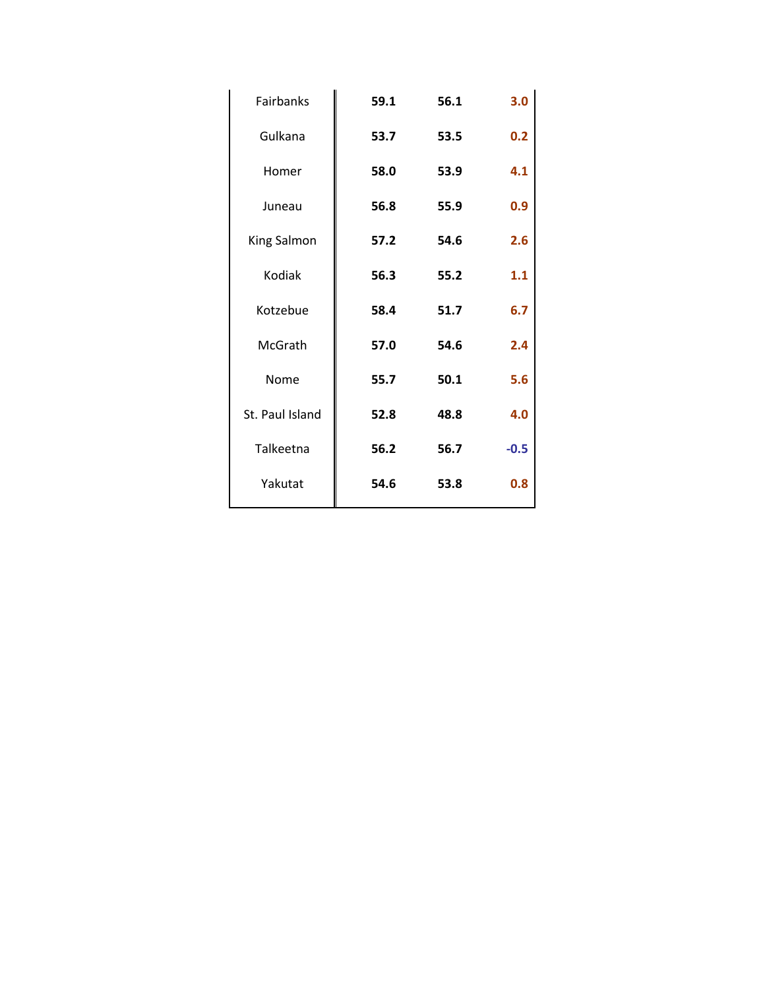| Fairbanks       | 59.1 | 56.1 | 3.0    |
|-----------------|------|------|--------|
| Gulkana         | 53.7 | 53.5 | 0.2    |
| Homer           | 58.0 | 53.9 | 4.1    |
| Juneau          | 56.8 | 55.9 | 0.9    |
| King Salmon     | 57.2 | 54.6 | 2.6    |
| Kodiak          | 56.3 | 55.2 | 1.1    |
| Kotzebue        | 58.4 | 51.7 | 6.7    |
| McGrath         | 57.0 | 54.6 | 2.4    |
| Nome            | 55.7 | 50.1 | 5.6    |
| St. Paul Island | 52.8 | 48.8 | 4.0    |
| Talkeetna       | 56.2 | 56.7 | $-0.5$ |
| Yakutat         | 54.6 | 53.8 | 0.8    |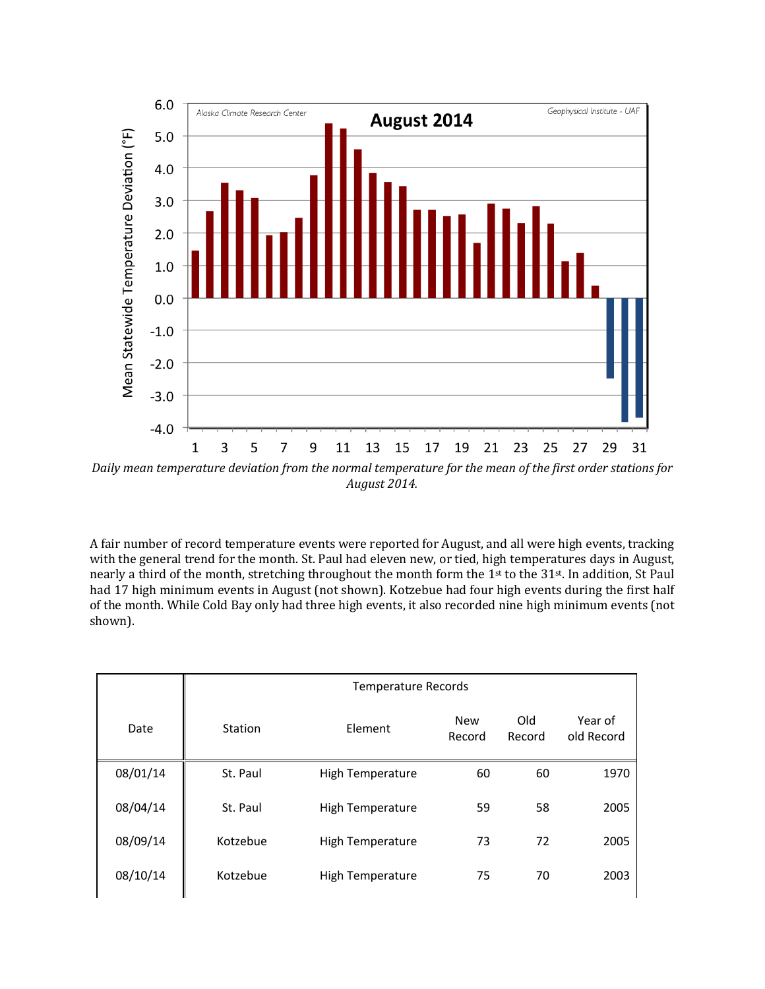

Daily mean temperature deviation from the normal temperature for the mean of the first order stations for *August 2014.*

A fair number of record temperature events were reported for August, and all were high events, tracking with the general trend for the month. St. Paul had eleven new, or tied, high temperatures days in August, nearly a third of the month, stretching throughout the month form the 1<sup>st</sup> to the 31<sup>st</sup>. In addition, St Paul had 17 high minimum events in August (not shown). Kotzebue had four high events during the first half of the month. While Cold Bay only had three high events, it also recorded nine high minimum events (not shown).

|          | <b>Temperature Records</b> |                  |                      |               |                       |  |  |
|----------|----------------------------|------------------|----------------------|---------------|-----------------------|--|--|
| Date     | Station                    | Element          | <b>New</b><br>Record | Old<br>Record | Year of<br>old Record |  |  |
| 08/01/14 | St. Paul                   | High Temperature | 60                   | 60            | 1970                  |  |  |
| 08/04/14 | St. Paul                   | High Temperature | 59                   | 58            | 2005                  |  |  |
| 08/09/14 | Kotzebue                   | High Temperature | 73                   | 72            | 2005                  |  |  |
| 08/10/14 | Kotzebue                   | High Temperature | 75                   | 70            | 2003                  |  |  |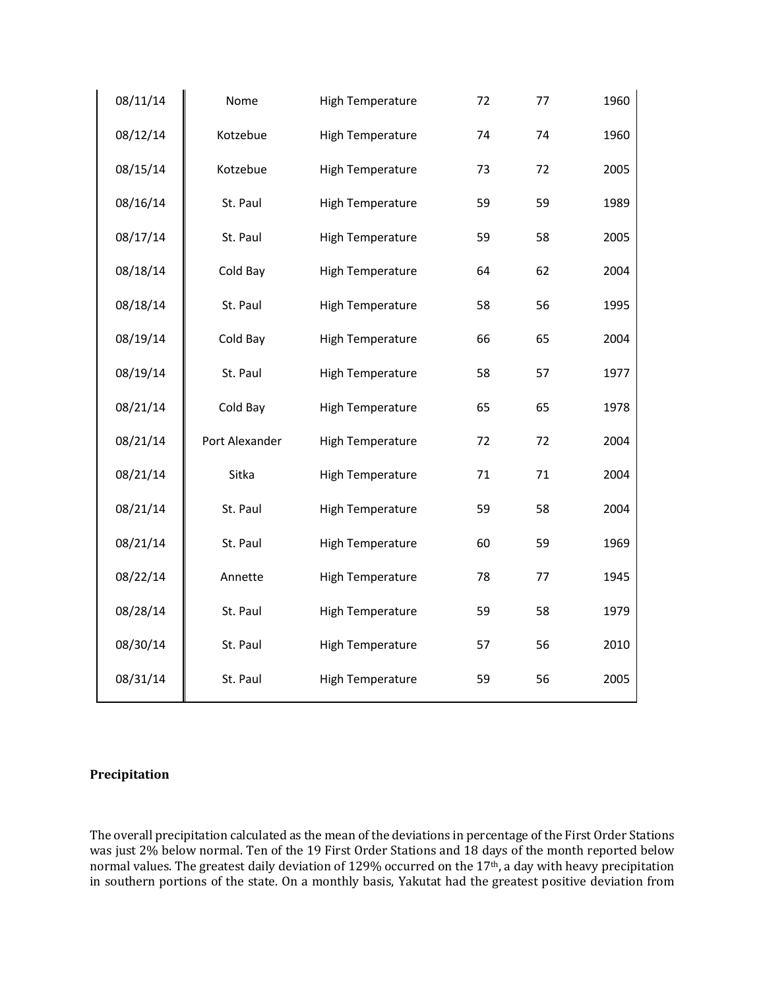| 08/11/14 | Nome           | High Temperature        | 72 | 77 | 1960 |
|----------|----------------|-------------------------|----|----|------|
| 08/12/14 | Kotzebue       | <b>High Temperature</b> | 74 | 74 | 1960 |
| 08/15/14 | Kotzebue       | <b>High Temperature</b> | 73 | 72 | 2005 |
| 08/16/14 | St. Paul       | <b>High Temperature</b> | 59 | 59 | 1989 |
| 08/17/14 | St. Paul       | <b>High Temperature</b> | 59 | 58 | 2005 |
| 08/18/14 | Cold Bay       | <b>High Temperature</b> | 64 | 62 | 2004 |
| 08/18/14 | St. Paul       | High Temperature        | 58 | 56 | 1995 |
| 08/19/14 | Cold Bay       | <b>High Temperature</b> | 66 | 65 | 2004 |
| 08/19/14 | St. Paul       | <b>High Temperature</b> | 58 | 57 | 1977 |
| 08/21/14 | Cold Bay       | <b>High Temperature</b> | 65 | 65 | 1978 |
| 08/21/14 | Port Alexander | <b>High Temperature</b> | 72 | 72 | 2004 |
| 08/21/14 | Sitka          | High Temperature        | 71 | 71 | 2004 |
| 08/21/14 | St. Paul       | High Temperature        | 59 | 58 | 2004 |
| 08/21/14 | St. Paul       | <b>High Temperature</b> | 60 | 59 | 1969 |
| 08/22/14 | Annette        | <b>High Temperature</b> | 78 | 77 | 1945 |
| 08/28/14 | St. Paul       | <b>High Temperature</b> | 59 | 58 | 1979 |
| 08/30/14 | St. Paul       | <b>High Temperature</b> | 57 | 56 | 2010 |
| 08/31/14 | St. Paul       | <b>High Temperature</b> | 59 | 56 | 2005 |

## **Precipitation**

The overall precipitation calculated as the mean of the deviations in percentage of the First Order Stations was just 2% below normal. Ten of the 19 First Order Stations and 18 days of the month reported below normal values. The greatest daily deviation of 129% occurred on the 17<sup>th</sup>, a day with heavy precipitation in southern portions of the state. On a monthly basis, Yakutat had the greatest positive deviation from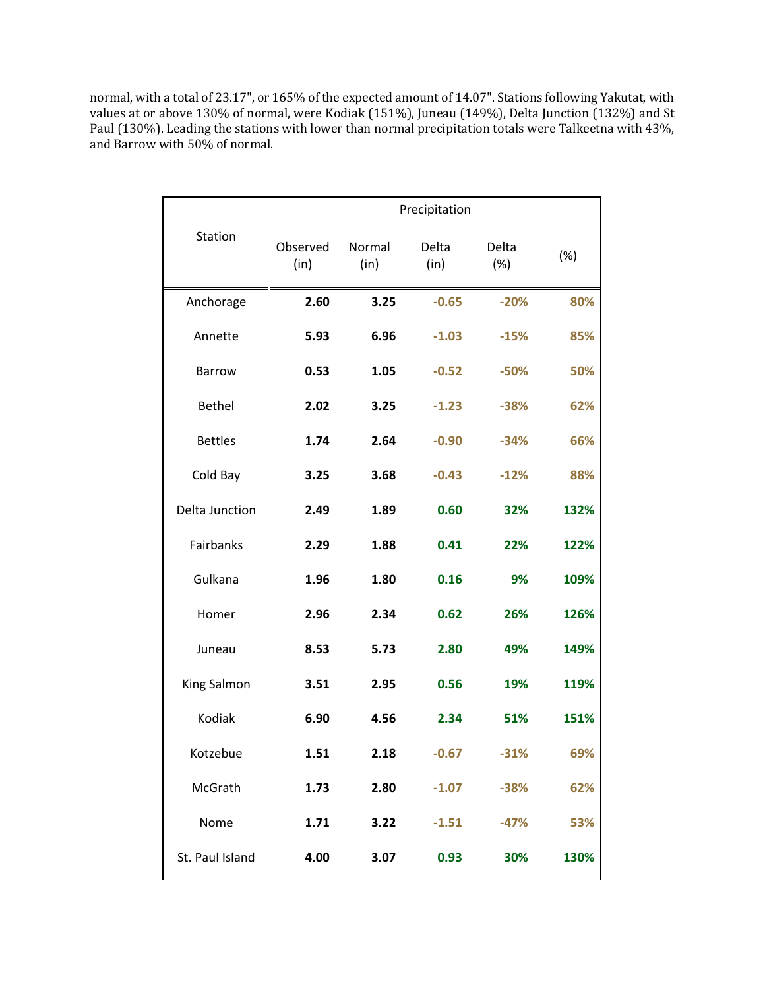normal, with a total of 23.17", or 165% of the expected amount of 14.07". Stations following Yakutat, with values at or above  $130\%$  of normal, were Kodiak (151%), Juneau (149%), Delta Junction (132%) and St Paul (130%). Leading the stations with lower than normal precipitation totals were Talkeetna with 43%, and Barrow with 50% of normal.

|                 |                  |                | Precipitation |              |      |
|-----------------|------------------|----------------|---------------|--------------|------|
| Station         | Observed<br>(in) | Normal<br>(in) | Delta<br>(in) | Delta<br>(%) | (%)  |
| Anchorage       | 2.60             | 3.25           | $-0.65$       | $-20%$       | 80%  |
| Annette         | 5.93             | 6.96           | $-1.03$       | $-15%$       | 85%  |
| <b>Barrow</b>   | 0.53             | 1.05           | $-0.52$       | $-50%$       | 50%  |
| <b>Bethel</b>   | 2.02             | 3.25           | $-1.23$       | $-38%$       | 62%  |
| <b>Bettles</b>  | 1.74             | 2.64           | $-0.90$       | $-34%$       | 66%  |
| Cold Bay        | 3.25             | 3.68           | $-0.43$       | $-12%$       | 88%  |
| Delta Junction  | 2.49             | 1.89           | 0.60          | 32%          | 132% |
| Fairbanks       | 2.29             | 1.88           | 0.41          | 22%          | 122% |
| Gulkana         | 1.96             | 1.80           | 0.16          | 9%           | 109% |
| Homer           | 2.96             | 2.34           | 0.62          | 26%          | 126% |
| Juneau          | 8.53             | 5.73           | 2.80          | 49%          | 149% |
| King Salmon     | 3.51             | 2.95           | 0.56          | 19%          | 119% |
| Kodiak          | 6.90             | 4.56           | 2.34          | 51%          | 151% |
| Kotzebue        | 1.51             | 2.18           | $-0.67$       | $-31%$       | 69%  |
| McGrath         | 1.73             | 2.80           | $-1.07$       | $-38%$       | 62%  |
| Nome            | 1.71             | 3.22           | $-1.51$       | $-47%$       | 53%  |
| St. Paul Island | 4.00             | 3.07           | 0.93          | 30%          | 130% |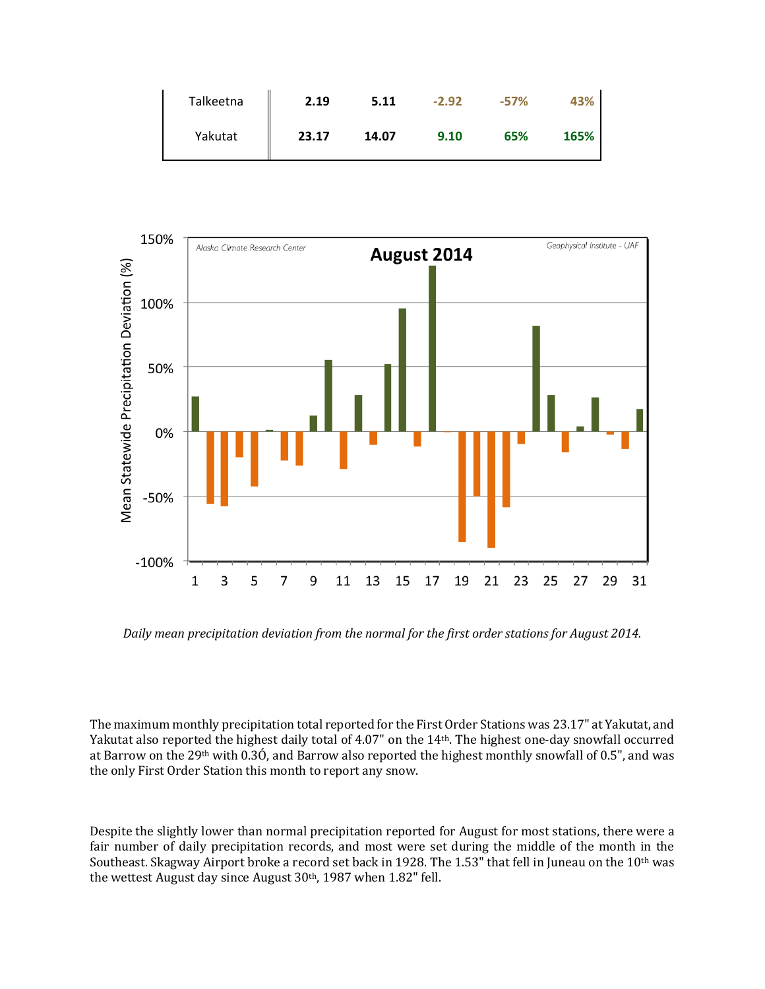| Talkeetna | 2.19  | 5.11  | $-2.92$ | $-57%$ | 43%  |
|-----------|-------|-------|---------|--------|------|
| Yakutat   | 23.17 | 14.07 | 9.10    | 65%    | 165% |



Daily mean precipitation deviation from the normal for the first order stations for August 2014.

The maximum monthly precipitation total reported for the First Order Stations was 23.17" at Yakutat, and Yakutat also reported the highest daily total of 4.07" on the 14<sup>th</sup>. The highest one-day snowfall occurred at Barrow on the 29<sup>th</sup> with 0.3Ó, and Barrow also reported the highest monthly snowfall of 0.5", and was the only First Order Station this month to report any snow.

Despite the slightly lower than normal precipitation reported for August for most stations, there were a fair number of daily precipitation records, and most were set during the middle of the month in the Southeast. Skagway Airport broke a record set back in 1928. The 1.53" that fell in Juneau on the 10<sup>th</sup> was the wettest August day since August  $30<sup>th</sup>$ , 1987 when  $1.82<sup>th</sup>$  fell.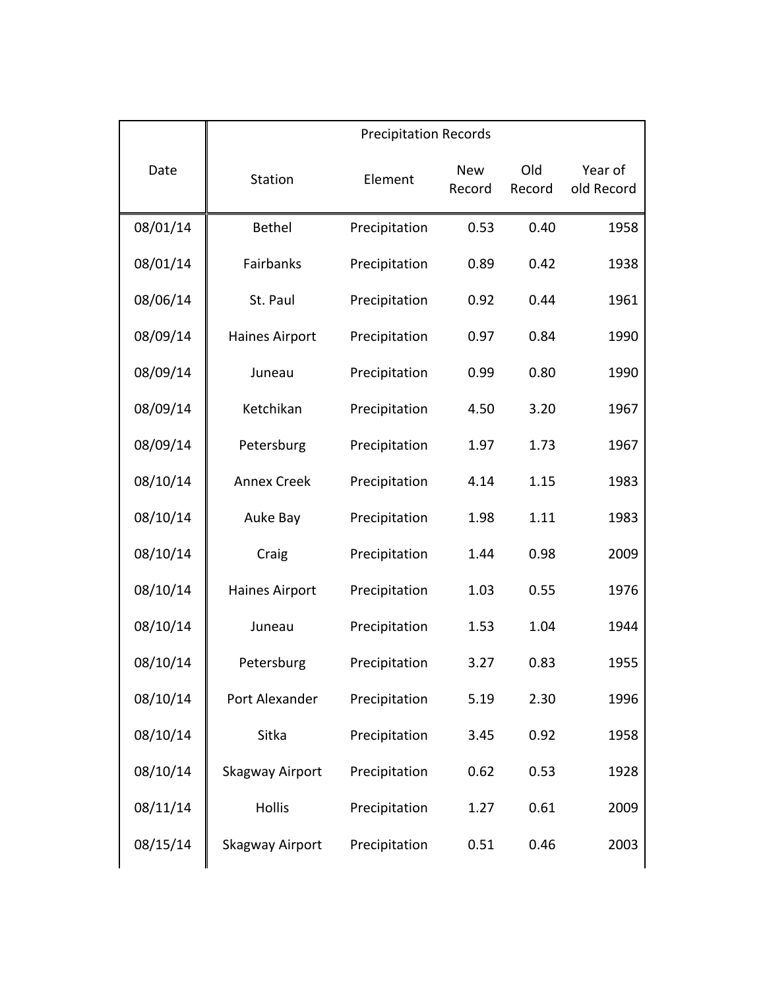|          | <b>Precipitation Records</b> |               |                      |               |                       |  |
|----------|------------------------------|---------------|----------------------|---------------|-----------------------|--|
| Date     | Station                      | Element       | <b>New</b><br>Record | Old<br>Record | Year of<br>old Record |  |
| 08/01/14 | <b>Bethel</b>                | Precipitation | 0.53                 | 0.40          | 1958                  |  |
| 08/01/14 | Fairbanks                    | Precipitation | 0.89                 | 0.42          | 1938                  |  |
| 08/06/14 | St. Paul                     | Precipitation | 0.92                 | 0.44          | 1961                  |  |
| 08/09/14 | <b>Haines Airport</b>        | Precipitation | 0.97                 | 0.84          | 1990                  |  |
| 08/09/14 | Juneau                       | Precipitation | 0.99                 | 0.80          | 1990                  |  |
| 08/09/14 | Ketchikan                    | Precipitation | 4.50                 | 3.20          | 1967                  |  |
| 08/09/14 | Petersburg                   | Precipitation | 1.97                 | 1.73          | 1967                  |  |
| 08/10/14 | <b>Annex Creek</b>           | Precipitation | 4.14                 | 1.15          | 1983                  |  |
| 08/10/14 | Auke Bay                     | Precipitation | 1.98                 | 1.11          | 1983                  |  |
| 08/10/14 | Craig                        | Precipitation | 1.44                 | 0.98          | 2009                  |  |
| 08/10/14 | <b>Haines Airport</b>        | Precipitation | 1.03                 | 0.55          | 1976                  |  |
| 08/10/14 | Juneau                       | Precipitation | 1.53                 | 1.04          | 1944                  |  |
| 08/10/14 | Petersburg                   | Precipitation | 3.27                 | 0.83          | 1955                  |  |
| 08/10/14 | Port Alexander               | Precipitation | 5.19                 | 2.30          | 1996                  |  |
| 08/10/14 | Sitka                        | Precipitation | 3.45                 | 0.92          | 1958                  |  |
| 08/10/14 | Skagway Airport              | Precipitation | 0.62                 | 0.53          | 1928                  |  |
| 08/11/14 | <b>Hollis</b>                | Precipitation | 1.27                 | 0.61          | 2009                  |  |
| 08/15/14 | Skagway Airport              | Precipitation | 0.51                 | 0.46          | 2003                  |  |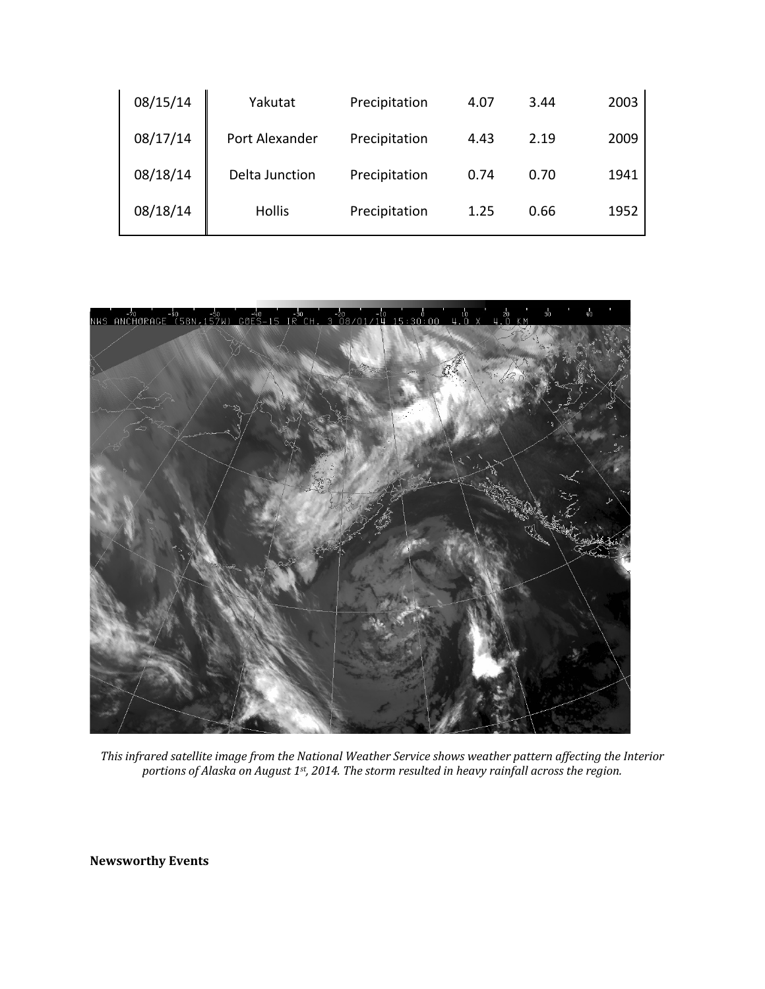| 08/15/14 | Yakutat        | Precipitation | 4.07 | 3.44 | 2003 |
|----------|----------------|---------------|------|------|------|
| 08/17/14 | Port Alexander | Precipitation | 4.43 | 2.19 | 2009 |
| 08/18/14 | Delta Junction | Precipitation | 0.74 | 0.70 | 1941 |
| 08/18/14 | <b>Hollis</b>  | Precipitation | 1.25 | 0.66 | 1952 |



This infrared satellite image from the National Weather Service shows weather pattern affecting the Interior portions of Alaska on August 1st, 2014. The storm resulted in heavy rainfall across the region.

**Newsworthy Events**